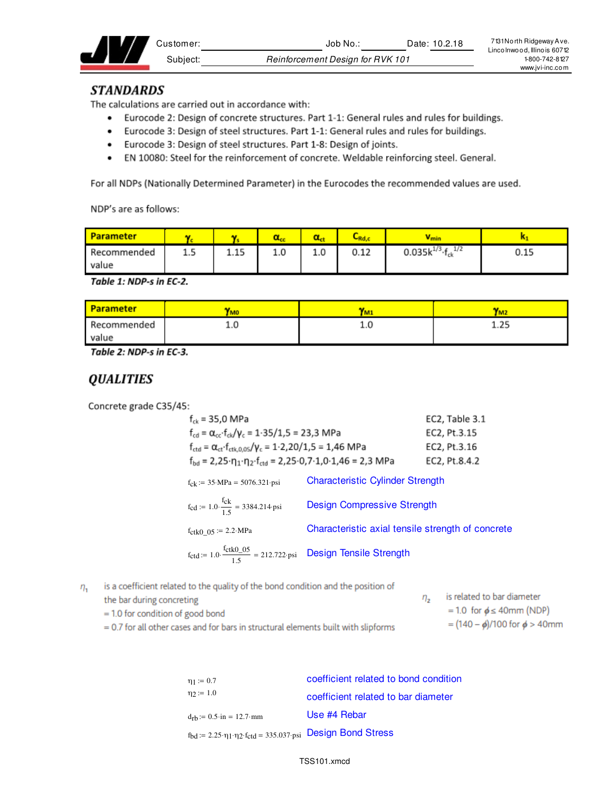| ∵ustomer: | Date: 10.2.18<br>Job No                 | 7131 North Ridgeway Ave.<br>Lincolnwood, Illinois 60712 |
|-----------|-----------------------------------------|---------------------------------------------------------|
| Subiect:  | <b>Reinforcement Design for RVK 101</b> | 1800-742-8127                                           |
|           |                                         | www.ivi-inc.com                                         |

### **STANDARDS**

The calculations are carried out in accordance with:

- Eurocode 2: Design of concrete structures. Part 1-1: General rules and rules for buildings.
- Eurocode 3: Design of steel structures. Part 1-1: General rules and rules for buildings.
- Eurocode 3: Design of steel structures. Part 1-8: Design of joints.
- EN 10080: Steel for the reinforcement of concrete. Weldable reinforcing steel. General.

For all NDPs (Nationally Determined Parameter) in the Eurocodes the recommended values are used.

NDP's are as follows:

| <b>Parameter</b> |     |      |     |     | ∽<br>،Rd, | <b>V</b> min                      |      |
|------------------|-----|------|-----|-----|-----------|-----------------------------------|------|
| Recommended      | 1.5 | 1.15 | 1.0 | 1.0 | 0.12      | 0.035 $k^{1/3}$ · $f_{ck}$<br>1/2 | 0.15 |
| value            |     |      |     |     |           |                                   |      |

Table 1: NDP-s in EC-2.

| <b>Parameter</b> | <b>YMO</b> | <b>TM</b> | IM2  |
|------------------|------------|-----------|------|
| Recommended      | ∸∙∾        | ⊥.∪       | 1.25 |
| value            |            |           |      |

Table 2: NDP-s in EC-3.

# **QUALITIES**

Concrete grade C35/45:

| $f_{ck}$ = 35,0 MPa                                                                                                           |                                                   | EC2, Table 3.1 |
|-------------------------------------------------------------------------------------------------------------------------------|---------------------------------------------------|----------------|
| $f_{cd} = \alpha_{cc} \cdot f_{ck}/\gamma_c = 1.35/1.5 = 23.3 \text{ MPa}$                                                    |                                                   | EC2, Pt.3.15   |
| $f_{\text{ctd}} = \alpha_{\text{ct}} \cdot f_{\text{ctk},0.05} / \gamma_c = 1.2,20 / 1,5 = 1,46 \text{ MPa}$                  |                                                   | EC2, Pt.3.16   |
| $f_{\text{bd}} = 2.25 \cdot \eta_1 \cdot \eta_2 \cdot f_{\text{ctd}} = 2.25 \cdot 0.7 \cdot 1.0 \cdot 1.46 = 2.3 \text{ MPa}$ |                                                   | EC2, Pt.8.4.2  |
| $f_{ck} := 35 \text{ MPa} = 5076.321 \text{psi}$                                                                              | <b>Characteristic Cylinder Strength</b>           |                |
| $f_{\text{cd}} := 1.0 \cdot \frac{f_{\text{ck}}}{1.5} = 3384.214 \text{psi}$                                                  | <b>Design Compressive Strength</b>                |                |
| $f_{\text{ctk0}}_{0.05}$ := 2.2 MPa                                                                                           | Characteristic axial tensile strength of concrete |                |
| $f_{\text{ctd}} = 1.0 \cdot \frac{f_{\text{ctk0}} - 0.5}{1.5} = 212.722 \cdot \text{psi}$ Design Tensile Strength             |                                                   |                |

is a coefficient related to the quality of the bond condition and the position of  $\eta_{1}$ 

| the bar during concreting                                                            | is related to bar diameter              |  |
|--------------------------------------------------------------------------------------|-----------------------------------------|--|
| $=$ 1.0 for condition of good bond                                                   | $= 1.0$ for $\phi \leq 40$ mm (NDP)     |  |
| $= 0.7$ for all other cases and for bars in structural elements built with slipforms | = $(140 - \phi)/100$ for $\phi > 40$ mm |  |

 $= 0.7$  for all other cases and for bars in structural elements built with slipforms

| $\eta_1 := 0.7$                                                                                        | coefficient related to bond condition |
|--------------------------------------------------------------------------------------------------------|---------------------------------------|
| $\eta_2 := 1.0$                                                                                        | coefficient related to bar diameter   |
| $d_{rb} := 0.5 \cdot in = 12.7 \cdot mm$                                                               | Use #4 Rebar                          |
| $f_{bd} := 2.25 \cdot \eta_1 \cdot \eta_2 \cdot f_{ctd} = 335.037 \cdot \text{psi}$ Design Bond Stress |                                       |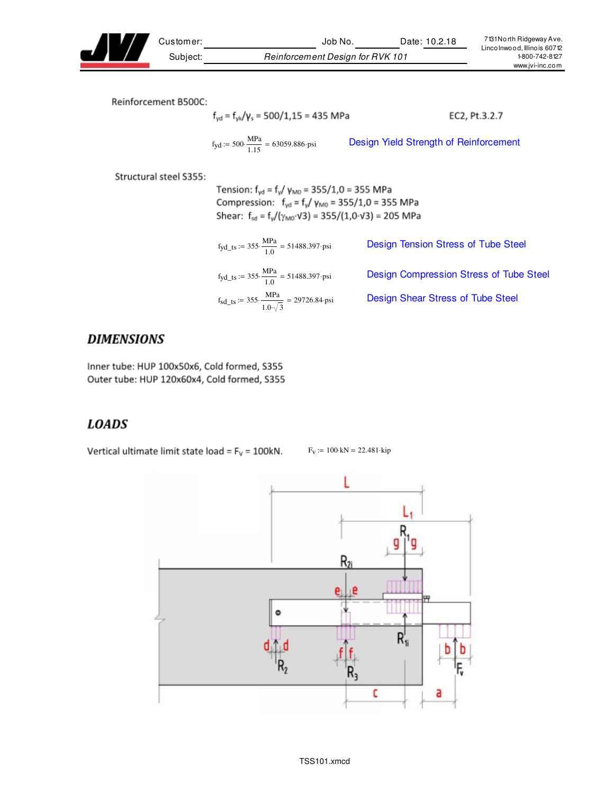

Customer: Job No. Date: 10.2.18 Subject: Reinforcement Design for RVK 101

Reinforcement B500C:

$$
f_{yd} = f_{yk}/\gamma_s = 500/1,15 = 435 \text{ MPa}
$$
 EC2, Pt.3.2.7  

$$
f_{yd} := 500 \cdot \frac{\text{MPa}}{1.15} = 63059.886 \text{ psi}
$$
 Design Yield Strength of Reinforcement

Structural steel S355:

Tension:  $f_{yd} = f_y / \gamma_{M0} = 355 / 1,0 = 355 \text{ MPa}$ Compression:  $f_{yd} = f_{y}/ \gamma_{M0} = 355/1,0 = 355 \text{ MPa}$ Shear:  $f_{sd} = f_y/(\gamma_{M0} \cdot \sqrt{3}) = 355/(1.0 \cdot \sqrt{3}) = 205 \text{ MPa}$ 

| $f_{\text{yd\_ts}} := 355 \cdot \frac{\text{MPa}}{1.0} = 51488.397 \cdot \text{psi}$ | Design Tension Stress of Tube Steel     |
|--------------------------------------------------------------------------------------|-----------------------------------------|
| $f_{\text{yd\_ts}} := 355 \cdot \frac{\text{MPa}}{1.0} = 51488.397 \cdot \text{psi}$ | Design Compression Stress of Tube Steel |
| $f_{sd\_ts}$ := 355. $\frac{MPa}{1.0\sqrt{3}}$ = 29726.84 psi                        | Design Shear Stress of Tube Steel       |

## **DIMENSIONS**

Inner tube: HUP 100x50x6, Cold formed, S355 Outer tube: HUP 120x60x4, Cold formed, S355

# **LOADS**

Vertical ultimate limit state load =  $F_v$  = 100kN.

 $F_V := 100$  kN = 22.481 kip

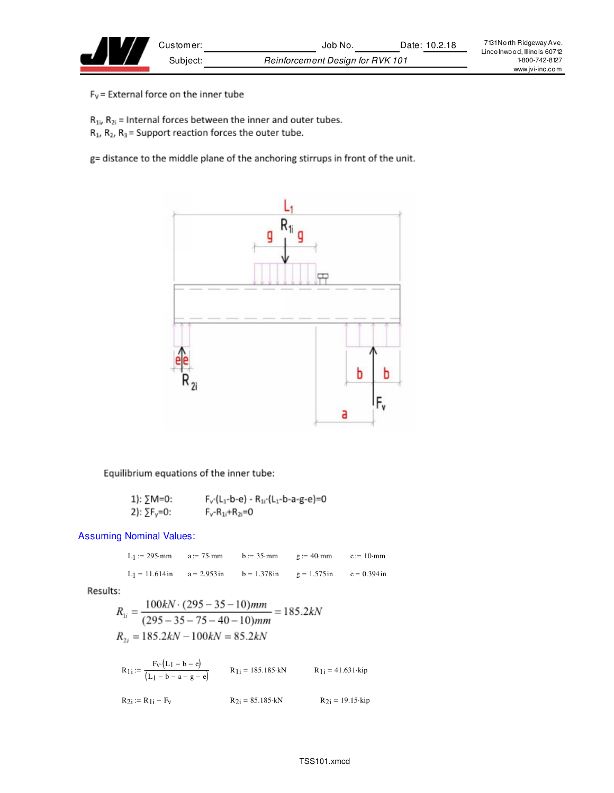$F_V$  = External force on the inner tube

 $R_{1i}$ ,  $R_{2i}$  = Internal forces between the inner and outer tubes.

 $R_1$ ,  $R_2$ ,  $R_3$  = Support reaction forces the outer tube.

g= distance to the middle plane of the anchoring stirrups in front of the unit.



Equilibrium equations of the inner tube:

1): 
$$
\sum M = 0
$$
:  
\n $F_v(L_1-b-e) - R_{11}(L_1-b-a-g-e) = 0$   
\n2):  $\sum F_v = 0$ :  
\n $F_v - R_{11} + R_{21} = 0$ 

Assuming Nominal Values:

 $L_1 := 295$  mm  $a := 75$  mm  $b := 35$  mm  $g := 40$  mm  $e := 10$  mm L<sub>1</sub> = 11.614 in a = 2.953 in b = 1.378 in g = 1.575 in e = 0.394 in

Results:

$$
R_{1i} = \frac{100kN \cdot (295 - 35 - 10)mm}{(295 - 35 - 75 - 40 - 10)mm} = 185.2kN
$$
  

$$
R_{2i} = 185.2kN - 100kN = 85.2kN
$$

$$
R_{1i} := \frac{F_V (L_1 - b - e)}{(L_1 - b - a - g - e)}
$$
  
\n
$$
R_{1i} = 185.185 \cdot kN
$$
  
\n
$$
R_{1i} = 41.631 \cdot kip
$$
  
\n
$$
R_{2i} := R_{1i} - F_V
$$
  
\n
$$
R_{2i} = 85.185 \cdot kN
$$
  
\n
$$
R_{2i} = 19.15 \cdot kip
$$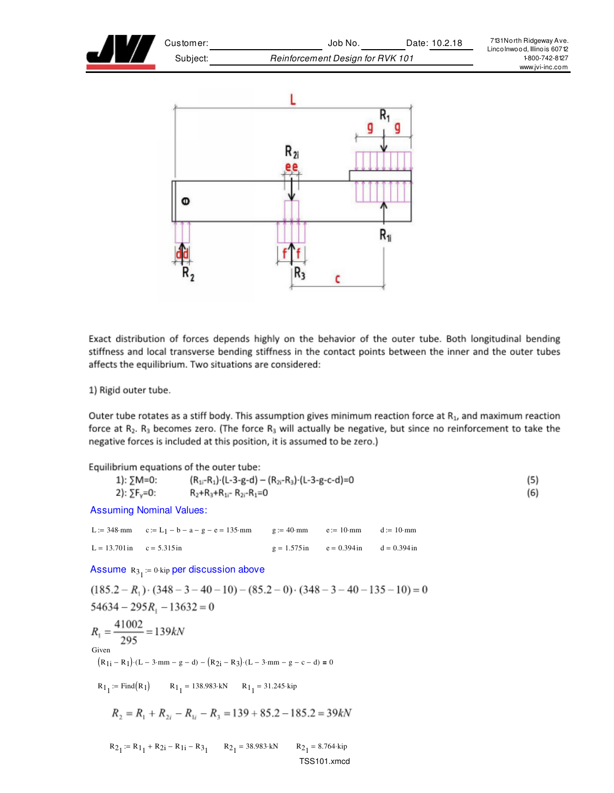



Exact distribution of forces depends highly on the behavior of the outer tube. Both longitudinal bending stiffness and local transverse bending stiffness in the contact points between the inner and the outer tubes affects the equilibrium. Two situations are considered:

1) Rigid outer tube.

Outer tube rotates as a stiff body. This assumption gives minimum reaction force at  $R_1$ , and maximum reaction force at  $R_2$ .  $R_3$  becomes zero. (The force  $R_3$  will actually be negative, but since no reinforcement to take the negative forces is included at this position, it is assumed to be zero.)

Equilibrium equations of the outer tube:  $(R_{1i}-R_1)$  (L-3-g-d) –  $(R_{2i}-R_3)$  (L-3-g-c-d)=0  $(5)$ 1): ∑M=0: 2):  $\Sigma F_v = 0$ :  $R_2+R_3+R_{1i}$ -  $R_{2i}$ - $R_1=0$ (6) Assuming Nominal Values: L := 348 mm  $c := L_1 - b - a - g - e = 135$  mm  $g := 40$  mm  $e := 10$  mm  $d := 10$  mm  $L = 13.701 \text{ in } \quad c = 5.315 \text{ in } \quad g = 1.575 \text{ in } \quad e = 0.394 \text{ in } \quad d = 0.394 \text{ in }$ Assume  $R_{\rm 3_{1}}$  := 0 kip per discussion above  $(185.2 - R_1) \cdot (348 - 3 - 40 - 10) - (85.2 - 0) \cdot (348 - 3 - 40 - 135 - 10) = 0$  $54634 - 295R_1 - 13632 = 0$  $R_1 = \frac{41002}{295} = 139kN$ Given  $(R_{1i} - R_1) \cdot (L - 3 \cdot mm - g - d) - (R_{2i} - R_3) \cdot (L - 3 \cdot mm - g - c - d) = 0$  $R_1$  := Find(R<sub>1</sub>)  $R_1$  = 138.983 kN  $R_1$  = 31.245 kip  $R_2 = R_1 + R_{2i} - R_{1i} - R_3 = 139 + 85.2 - 185.2 = 39kN$  $R_{2_1} := R_{1_1} + R_{2_1} - R_{1_1} - R_{3_1}$   $R_{2_1} = 38.983 \text{ kN}$   $R_{2_2}$  $_1 = 8.764 \cdot \text{kip}$ TSS101.xmcd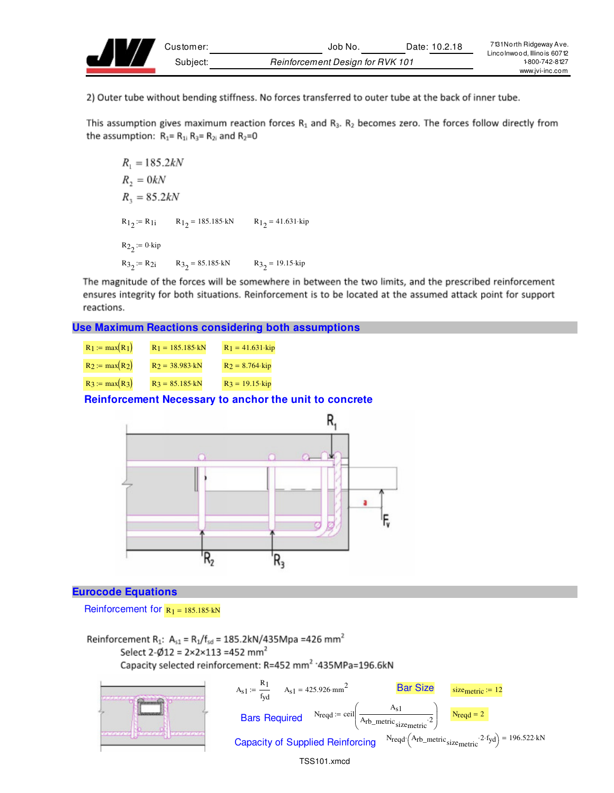

2) Outer tube without bending stiffness. No forces transferred to outer tube at the back of inner tube.

This assumption gives maximum reaction forces  $R_1$  and  $R_3$ .  $R_2$  becomes zero. The forces follow directly from the assumption:  $R_1 = R_{1i} R_3 = R_{2i}$  and  $R_2 = 0$ 

```
R_1 = 185.2kNR_2 = 0kNR_3 = 85.2kNR_1: = R<sub>1</sub> R_1 = 185.185 kN R_1 = 41.631 kip
R_{22}:= 0·kip
R3_2 = R2i R3_2 = 85.185 kN R3_2 = 19.15 kip
```
The magnitude of the forces will be somewhere in between the two limits, and the prescribed reinforcement ensures integrity for both situations. Reinforcement is to be located at the assumed attack point for support reactions.

**Use Maximum Reactions considering both assumptions**

| $R_1 := max(R_1)$ | $R_1 = 185.185$ kN      | $R_1 = 41.631$ kip |
|-------------------|-------------------------|--------------------|
| $R_2 := max(R_2)$ | $R_2 = 38.983 \cdot kN$ | $R_2 = 8.764$ kip  |
| $R_3 := max(R_3)$ | $R_3 = 85.185 \cdot kN$ | $R_3 = 19.15$ kip  |

**Reinforcement Necessary to anchor the unit to concrete**



#### **Eurocode Equations**

Reinforcement for  $R_1 = 185.185 \cdot kN$ 

Reinforcement R<sub>1</sub>: A<sub>s1</sub> = R<sub>1</sub>/f<sub>sd</sub> = 185.2kN/435Mpa = 426 mm<sup>2</sup> Select 2- $\phi$ 12 = 2×2×113 =452 mm<sup>2</sup> Capacity selected reinforcement: R=452 mm<sup>2</sup> '435MPa=196.6kN

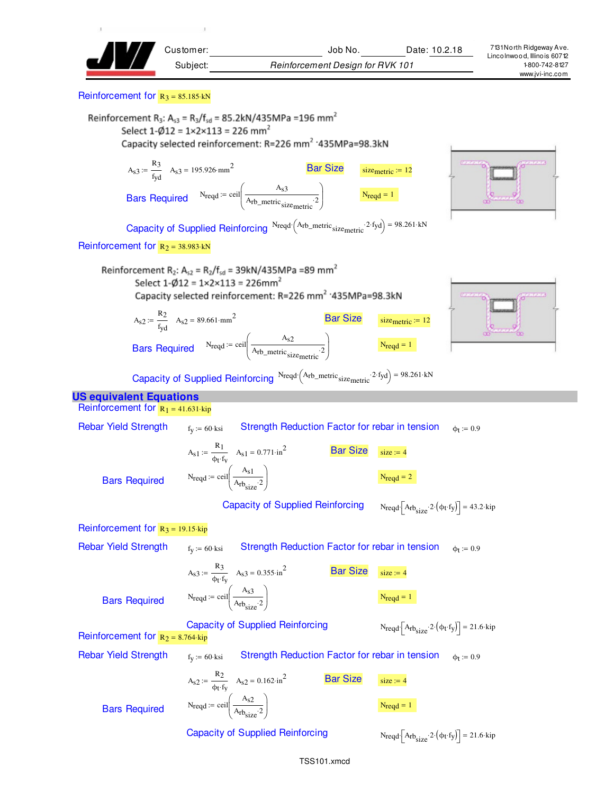

#### Reinforcement for  $R_3 = 85.185$  kN

Reinforcement R<sub>3</sub>: A<sub>s3</sub> = R<sub>3</sub>/f<sub>sd</sub> = 85.2kN/435MPa = 196 mm<sup>2</sup> Select  $1-\emptyset12 = 1 \times 2 \times 113 = 226$  mm<sup>2</sup> Capacity selected reinforcement: R=226 mm<sup>2</sup> '435MPa=98.3kN





Capacity of Supplied Reinforcing  $N_{\text{reqd}} \left( A_{\text{rb\_metric}} : 2 \cdot f_{\text{yd}} \right) = 98.261 \cdot kN$ 

Reinforcement for  $R_2 = 38.983$  kN

Reinforcement R<sub>2</sub>: A<sub>s2</sub> = R<sub>2</sub>/f<sub>sd</sub> = 39kN/435MPa =89 mm<sup>2</sup> Select  $1-\emptyset12 = 1 \times 2 \times 113 = 226$ mm<sup>2</sup> Capacity selected reinforcement: R=226 mm<sup>2</sup> '435MPa=98.3kN  $Bar Size$   $size_{metric} := 12$  $A_{s2} := \frac{R_2}{r}$ 

 $:=$   $\frac{R_2}{f_{yd}}$   $A_{s2} = 89.661$ ·mm<sup>2</sup>  $N_{\text{reqd}} := \text{ceil} \left( \frac{A_{s2}}{A_{\text{old}}}\right)$ Arb\_metric size<sub>metric</sub> 2 ſ I l Ì  $\overline{\phantom{a}}$ J Bars Required  $N_{\text{reqd}} = \text{ceil} \frac{N_{\text{reqd}}}{A_{\text{rb metric}}}$  1



Capacity of Supplied Reinforcing  $N_{\text{reqd}} \left( A_{\text{rb\_metric}} : 2 \cdot f_{\text{yd}} \right) = 98.261 \cdot kN$ 

#### **US equivalent Equations**

Reinforcement for  $R_1 = 41.631$  kip Rebar Yield Strength  $f_{v} := 60$  ksi Strength Reduction Factor for rebar in tension  $\phi$ <sub>t</sub> := 0.9  $A_{s1} := \frac{R_1}{1 + 4}$  $=$   $\frac{R_1}{\phi_t \cdot f_v}$   $A_{s1} = 0.771 \cdot in^2$ Bar Size  $\frac{1}{\text{size}} = 4$  $N_{\text{reqd}} := \text{ceil} \left( \frac{A_{\text{S}}1}{\Delta} \right)$  $A_{rb_{size}}$ <sup>2</sup>  $\int$ l  $\bigg)$ J  $:=$  ceil  $\frac{1}{4}$   $\frac{1}{2}$   $\frac{1}{2}$ Bars Required Capacity of Supplied Reinforcing  $\cdot$   $[A_{rb_{size}} \cdot 2 \cdot (\phi_t \cdot f_y)] = 43.2 \cdot kip$ Reinforcement for  $R_3 = 19.15$  kip Rebar Yield Strength  $f_y = 60$  ksi btrength Reduction Factor for rebar in tension  $\phi_t = 0.9$  $A_{s3} := \frac{R_3}{4}$  $t = \frac{R_3}{\phi_t \cdot f_v}$   $A_{s3} = 0.355 \cdot \ln^2$  Bar Size size: = 4  $N_{\text{reqd}} := \text{ceil} \left( \frac{A_{\text{S}}3}{\Delta} \right)$  $A_{rb_{size}}$ <sup>2</sup>  $\int$ l  $\bigg)$ J  $:=$  ceil  $\frac{1}{4}$   $\frac{1}{2}$   $\frac{1}{2}$ Bars Required Capacity of Supplied Reinforcing  $\cdot$   $[A_{rb_{size}} \cdot 2 \cdot (\phi_t \cdot f_y)] = 21.6 \cdot kip$ Reinforcement for  $R_2 = 8.764$  kip Rebar Yield Strength  $f_y = 60$  ksi btrength Reduction Factor for rebar in tension  $\phi_t = 0.9$ 

Bars Required

\n
$$
\text{Capacity of Supplement} \quad \text{Reinforcing} \quad \text{N}\n \text{reqd} \left[ \text{Arb}_{\text{size}} \cdot 2 \cdot \left( \phi_t \cdot f_y \right) \right] = 21.6 \cdot \text{kip}
$$
\n

 $\bigg)$ J

 $A_{rb_{size}}$ <sup>2</sup>

 $A_{s2} := \frac{R_2}{4}$ 

 $N_{\text{reqd}} := \text{ceil} \left( \frac{A_{\text{s2}}}{\Delta} \right)$ 

 $\int$ l

 $t = \frac{R_2}{\phi_t \cdot f_v}$   $A_{s2} = 0.162 \cdot in^2$  Bar Size size = 4

 $:=$  ceil  $\frac{1}{\sqrt{1-\frac{1}{2}}}\left| \frac{1}{\sqrt{1-\frac{1}{2}}} \right|$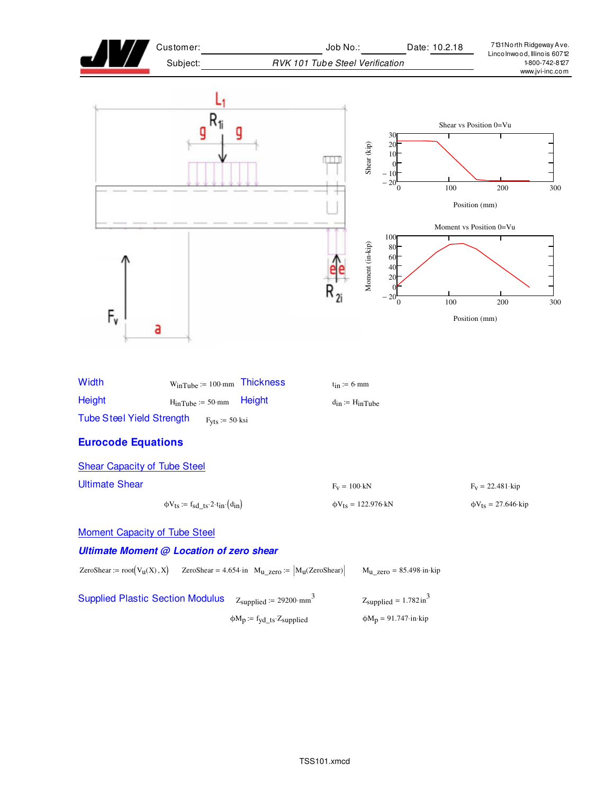



| <b>Supplied Plastic Section Modulus</b> | $Z_{\text{supplied}} := 29200 \cdot \text{mm}^3$          | $Z_{\text{supplied}} = 1.782 \text{ in}^3$           |
|-----------------------------------------|-----------------------------------------------------------|------------------------------------------------------|
|                                         | $\phi M_p := f_{\text{yd\_ts}} \cdot Z_{\text{supplied}}$ | $\phi M_p = 91.747 \cdot \text{in} \cdot \text{kip}$ |